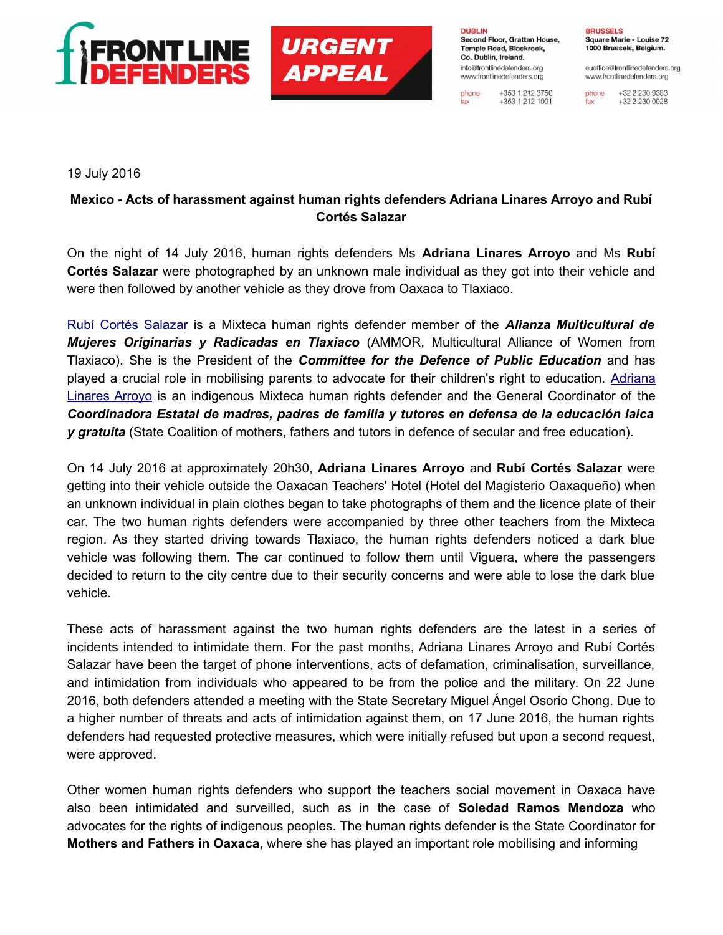



**DUBLIN** Second Floor, Grattan House, Temple Road, Blackrock, Co. Dublin, Ireland. info@frontlinedefenders.org www.frontlinedefenders.org

+353 1 212 3750 phone  $+353$  1 212 1001 fax

**BRUSSELS** Square Marie - Louise 72 1000 Brussels, Belgium.

euoffice@frontlinedefenders.org www.frontlinedefenders.org

+32 2 230 9383 phone +32 2 230 0028 fax

19 July 2016

## **Mexico - Acts of harassment against human rights defenders Adriana Linares Arroyo and Rubí Cortés Salazar**

On the night of 14 July 2016, human rights defenders Ms **Adriana Linares Arroyo** and Ms **Rubí Cortés Salazar** were photographed by an unknown male individual as they got into their vehicle and were then followed by another vehicle as they drove from Oaxaca to Tlaxiaco.

 [Rubí Cortés Salazar](https://www.frontlinedefenders.org/en/profile/rubi-jazmin-cortes-salazar) is a Mixteca human rights defender member of the *Alianza Multicultural de Mujeres Originarias y Radicadas en Tlaxiaco* (AMMOR, Multicultural Alliance of Women from Tlaxiaco). She is the President of the *Committee for the Defence of Public Education* and has played a crucial role in mobilising parents to advocate for their children's right to education. [Adriana](https://www.frontlinedefenders.org/en/profile/adriana-marcelina-linares-arroyo) [Linares Arroyo](https://www.frontlinedefenders.org/en/profile/adriana-marcelina-linares-arroyo) is an indigenous Mixteca human rights defender and the General Coordinator of the *Coordinadora Estatal de madres, padres de familia y tutores en defensa de la educación laica y gratuita* (State Coalition of mothers, fathers and tutors in defence of secular and free education).

On 14 July 2016 at approximately 20h30, **Adriana Linares Arroyo** and **Rubí Cortés Salazar** were getting into their vehicle outside the Oaxacan Teachers' Hotel (Hotel del Magisterio Oaxaqueño) when an unknown individual in plain clothes began to take photographs of them and the licence plate of their car. The two human rights defenders were accompanied by three other teachers from the Mixteca region. As they started driving towards Tlaxiaco, the human rights defenders noticed a dark blue vehicle was following them. The car continued to follow them until Viguera, where the passengers decided to return to the city centre due to their security concerns and were able to lose the dark blue vehicle.

These acts of harassment against the two human rights defenders are the latest in a series of incidents intended to intimidate them. For the past months, Adriana Linares Arroyo and Rubí Cortés Salazar have been the target of phone interventions, acts of defamation, criminalisation, surveillance, and intimidation from individuals who appeared to be from the police and the military. On 22 June 2016, both defenders attended a meeting with the State Secretary Miguel Ángel Osorio Chong. Due to a higher number of threats and acts of intimidation against them, on 17 June 2016, the human rights defenders had requested protective measures, which were initially refused but upon a second request, were approved.

Other women human rights defenders who support the teachers social movement in Oaxaca have also been intimidated and surveilled, such as in the case of **Soledad Ramos Mendoza** who advocates for the rights of indigenous peoples. The human rights defender is the State Coordinator for **Mothers and Fathers in Oaxaca**, where she has played an important role mobilising and informing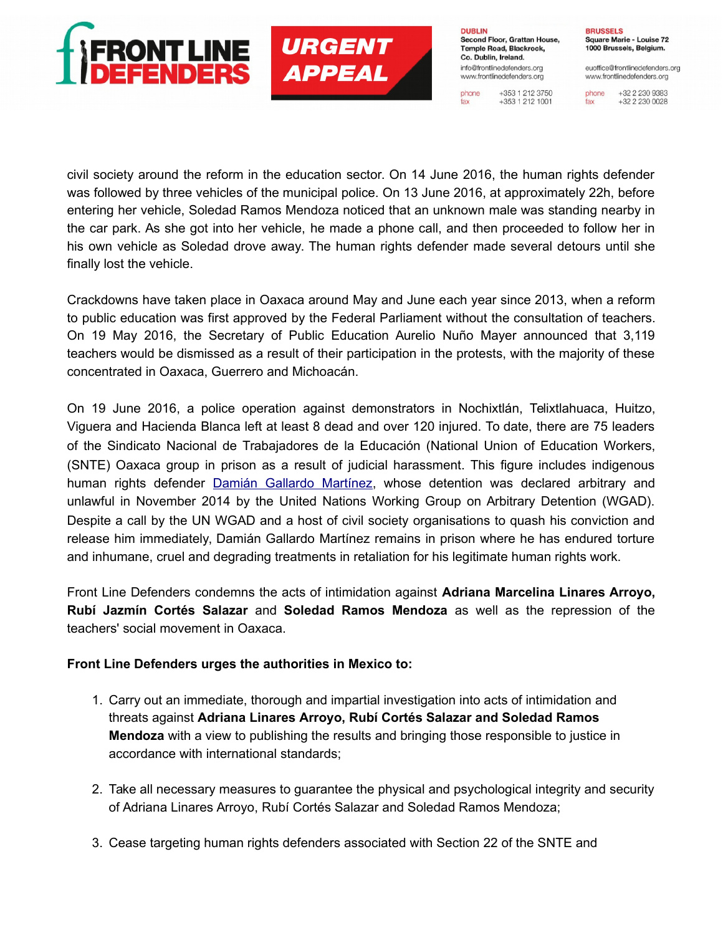



**DUBLIN** Second Floor, Grattan House, Temple Road, Blackrock. Co. Dublin, Ireland. info@frontlinedefenders.org www.frontlinedefenders.org +353 1 212 3750 phone

fax

 $+353$  1 212 1001

**BRUSSELS** Square Marie - Louise 72 1000 Brussels, Belgium.

euoffice@frontlinedefenders.org www.frontlinedefenders.org

+32 2 230 9383 phone +32 2 230 0028 fax

civil society around the reform in the education sector. On 14 June 2016, the human rights defender was followed by three vehicles of the municipal police. On 13 June 2016, at approximately 22h, before entering her vehicle, Soledad Ramos Mendoza noticed that an unknown male was standing nearby in the car park. As she got into her vehicle, he made a phone call, and then proceeded to follow her in his own vehicle as Soledad drove away. The human rights defender made several detours until she finally lost the vehicle.

Crackdowns have taken place in Oaxaca around May and June each year since 2013, when a reform to public education was first approved by the Federal Parliament without the consultation of teachers. On 19 May 2016, the Secretary of Public Education Aurelio Nuño Mayer announced that 3,119 teachers would be dismissed as a result of their participation in the protests, with the majority of these concentrated in Oaxaca, Guerrero and Michoacán.

On 19 June 2016, a police operation against demonstrators in Nochixtlán, Telixtlahuaca, Huitzo, Viguera and Hacienda Blanca left at least 8 dead and over 120 injured. To date, there are 75 leaders of the Sindicato Nacional de Trabajadores de la Educación (National Union of Education Workers, (SNTE) Oaxaca group in prison as a result of judicial harassment. This figure includes indigenous human rights defender [Damián Gallardo Martínez,](https://www.frontlinedefenders.org/en/case/case-history-damian-gallardo-martinez) whose detention was declared arbitrary and unlawful in November 2014 by the United Nations Working Group on Arbitrary Detention (WGAD). Despite a call by the UN WGAD and a host of civil society organisations to quash his conviction and release him immediately, Damián Gallardo Martínez remains in prison where he has endured torture and inhumane, cruel and degrading treatments in retaliation for his legitimate human rights work.

Front Line Defenders condemns the acts of intimidation against **Adriana Marcelina Linares Arroyo, Rubí Jazmín Cortés Salazar** and **Soledad Ramos Mendoza** as well as the repression of the teachers' social movement in Oaxaca.

## **Front Line Defenders urges the authorities in Mexico to:**

- 1. Carry out an immediate, thorough and impartial investigation into acts of intimidation and threats against **Adriana Linares Arroyo, Rubí Cortés Salazar and Soledad Ramos Mendoza** with a view to publishing the results and bringing those responsible to justice in accordance with international standards;
- 2. Take all necessary measures to guarantee the physical and psychological integrity and security of Adriana Linares Arroyo, Rubí Cortés Salazar and Soledad Ramos Mendoza;
- 3. Cease targeting human rights defenders associated with Section 22 of the SNTE and